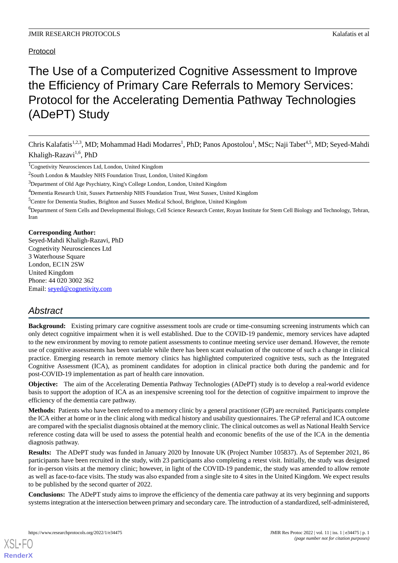# Protocol

# The Use of a Computerized Cognitive Assessment to Improve the Efficiency of Primary Care Referrals to Memory Services: Protocol for the Accelerating Dementia Pathway Technologies (ADePT) Study

Chris Kalafatis<sup>1,2,3</sup>, MD; Mohammad Hadi Modarres<sup>1</sup>, PhD; Panos Apostolou<sup>1</sup>, MSc; Naji Tabet<sup>4,5</sup>, MD; Seyed-Mahdi Khaligh-Razavi<sup>1,6</sup>, PhD

<sup>1</sup>Cognetivity Neurosciences Ltd, London, United Kingdom

<sup>2</sup>South London & Maudsley NHS Foundation Trust, London, United Kingdom

<sup>3</sup>Department of Old Age Psychiatry, King's College London, London, United Kingdom

<sup>4</sup>Dementia Research Unit, Sussex Partnership NHS Foundation Trust, West Sussex, United Kingdom

<sup>5</sup>Centre for Dementia Studies, Brighton and Sussex Medical School, Brighton, United Kingdom

<sup>6</sup>Department of Stem Cells and Developmental Biology, Cell Science Research Center, Royan Institute for Stem Cell Biology and Technology, Tehran, Iran

## **Corresponding Author:**

Seyed-Mahdi Khaligh-Razavi, PhD Cognetivity Neurosciences Ltd 3 Waterhouse Square London, EC1N 2SW United Kingdom Phone: 44 020 3002 362 Email: [seyed@cognetivity.com](mailto:seyed@cognetivity.com)

# *Abstract*

**Background:** Existing primary care cognitive assessment tools are crude or time-consuming screening instruments which can only detect cognitive impairment when it is well established. Due to the COVID-19 pandemic, memory services have adapted to the new environment by moving to remote patient assessments to continue meeting service user demand. However, the remote use of cognitive assessments has been variable while there has been scant evaluation of the outcome of such a change in clinical practice. Emerging research in remote memory clinics has highlighted computerized cognitive tests, such as the Integrated Cognitive Assessment (ICA), as prominent candidates for adoption in clinical practice both during the pandemic and for post-COVID-19 implementation as part of health care innovation.

**Objective:** The aim of the Accelerating Dementia Pathway Technologies (ADePT) study is to develop a real-world evidence basis to support the adoption of ICA as an inexpensive screening tool for the detection of cognitive impairment to improve the efficiency of the dementia care pathway.

**Methods:** Patients who have been referred to a memory clinic by a general practitioner (GP) are recruited. Participants complete the ICA either at home or in the clinic along with medical history and usability questionnaires. The GP referral and ICA outcome are compared with the specialist diagnosis obtained at the memory clinic. The clinical outcomes as well as National Health Service reference costing data will be used to assess the potential health and economic benefits of the use of the ICA in the dementia diagnosis pathway.

**Results:** The ADePT study was funded in January 2020 by Innovate UK (Project Number 105837). As of September 2021, 86 participants have been recruited in the study, with 23 participants also completing a retest visit. Initially, the study was designed for in-person visits at the memory clinic; however, in light of the COVID-19 pandemic, the study was amended to allow remote as well as face-to-face visits. The study was also expanded from a single site to 4 sites in the United Kingdom. We expect results to be published by the second quarter of 2022.

**Conclusions:** The ADePT study aims to improve the efficiency of the dementia care pathway at its very beginning and supports systems integration at the intersection between primary and secondary care. The introduction of a standardized, self-administered,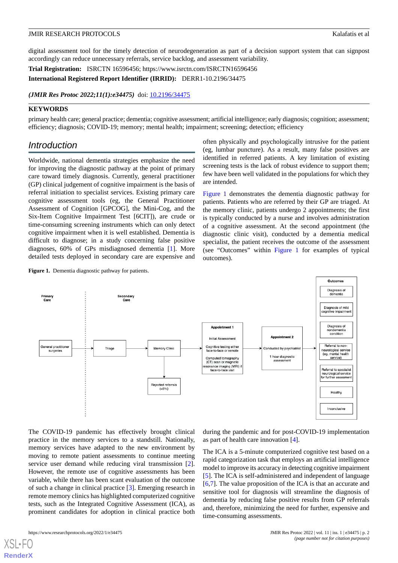digital assessment tool for the timely detection of neurodegeneration as part of a decision support system that can signpost accordingly can reduce unnecessary referrals, service backlog, and assessment variability.

**Trial Registration:** ISRCTN 16596456; https://www.isrctn.com/ISRCTN16596456

**International Registered Report Identifier (IRRID):** DERR1-10.2196/34475

*(JMIR Res Protoc 2022;11(1):e34475)* doi:  $10.2196/34475$ 

## **KEYWORDS**

primary health care; general practice; dementia; cognitive assessment; artificial intelligence; early diagnosis; cognition; assessment; efficiency; diagnosis; COVID-19; memory; mental health; impairment; screening; detection; efficiency

# *Introduction*

Worldwide, national dementia strategies emphasize the need for improving the diagnostic pathway at the point of primary care toward timely diagnosis. Currently, general practitioner (GP) clinical judgement of cognitive impairment is the basis of referral initiation to specialist services. Existing primary care cognitive assessment tools (eg, the General Practitioner Assessment of Cognition [GPCOG], the Mini-Cog, and the Six-Item Cognitive Impairment Test [6CIT]), are crude or time-consuming screening instruments which can only detect cognitive impairment when it is well established. Dementia is difficult to diagnose; in a study concerning false positive diagnoses, 60% of GPs misdiagnosed dementia [[1\]](#page-5-0). More detailed tests deployed in secondary care are expensive and

<span id="page-1-0"></span>Figure 1. Dementia diagnostic pathway for patients.

often physically and psychologically intrusive for the patient (eg, lumbar puncture). As a result, many false positives are identified in referred patients. A key limitation of existing screening tests is the lack of robust evidence to support them; few have been well validated in the populations for which they are intended.

[Figure 1](#page-1-0) demonstrates the dementia diagnostic pathway for patients. Patients who are referred by their GP are triaged. At the memory clinic, patients undergo 2 appointments; the first is typically conducted by a nurse and involves administration of a cognitive assessment. At the second appointment (the diagnostic clinic visit), conducted by a dementia medical specialist, the patient receives the outcome of the assessment (see "Outcomes" within [Figure 1](#page-1-0) for examples of typical outcomes).

Outcomes Diagnosis of<br>dementia condary<br>Care Primary<br>Care Diagnosis of mild<br>cognitive impairmen Diagnosis of<br>nondementia<br>condition Appointment 1 Appointment 2 **Initial Assessment** eral practitio<br>surgeries Referral to non-Cognitive testing eithe<br>face-to-face or remote Triage Memory Clinio ed by psychiatri neurological service<br>(eg, mental health 1 hour diagnostic mentarne<br>service) Computed tomography<br>(CT) scan or magnetic nance imaging (MRI) i<br>face-to-face visit Referral to specialist neurological service<br>for further assesmen Rejected referrals  $(<5%)$ Healthy Inconclusive

The COVID-19 pandemic has effectively brought clinical practice in the memory services to a standstill. Nationally, memory services have adapted to the new environment by moving to remote patient assessments to continue meeting service user demand while reducing viral transmission [[2\]](#page-5-1). However, the remote use of cognitive assessments has been variable, while there has been scant evaluation of the outcome of such a change in clinical practice [[3\]](#page-6-0). Emerging research in remote memory clinics has highlighted computerized cognitive tests, such as the Integrated Cognitive Assessment (ICA), as prominent candidates for adoption in clinical practice both

during the pandemic and for post-COVID-19 implementation as part of health care innovation [[4\]](#page-6-1).

The ICA is a 5-minute computerized cognitive test based on a rapid categorization task that employs an artificial intelligence model to improve its accuracy in detecting cognitive impairment [[5\]](#page-6-2). The ICA is self-administered and independent of language [[6](#page-6-3)[,7\]](#page-6-4). The value proposition of the ICA is that an accurate and sensitive tool for diagnosis will streamline the diagnosis of dementia by reducing false positive results from GP referrals and, therefore, minimizing the need for further, expensive and time-consuming assessments.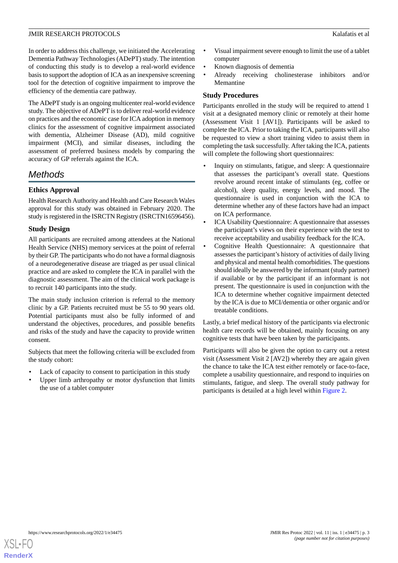In order to address this challenge, we initiated the Accelerating Dementia Pathway Technologies (ADePT) study. The intention of conducting this study is to develop a real-world evidence basis to support the adoption of ICA as an inexpensive screening tool for the detection of cognitive impairment to improve the efficiency of the dementia care pathway.

The ADePT study is an ongoing multicenter real-world evidence study. The objective of ADePT is to deliver real-world evidence on practices and the economic case for ICA adoption in memory clinics for the assessment of cognitive impairment associated with dementia, Alzheimer Disease (AD), mild cognitive impairment (MCI), and similar diseases, including the assessment of preferred business models by comparing the accuracy of GP referrals against the ICA.

# *Methods*

# **Ethics Approval**

Health Research Authority and Health and Care Research Wales approval for this study was obtained in February 2020. The study is registered in the ISRCTN Registry (ISRCTN16596456).

## **Study Design**

All participants are recruited among attendees at the National Health Service (NHS) memory services at the point of referral by their GP. The participants who do not have a formal diagnosis of a neurodegenerative disease are triaged as per usual clinical practice and are asked to complete the ICA in parallel with the diagnostic assessment. The aim of the clinical work package is to recruit 140 participants into the study.

The main study inclusion criterion is referral to the memory clinic by a GP. Patients recruited must be 55 to 90 years old. Potential participants must also be fully informed of and understand the objectives, procedures, and possible benefits and risks of the study and have the capacity to provide written consent.

Subjects that meet the following criteria will be excluded from the study cohort:

- Lack of capacity to consent to participation in this study
- Upper limb arthropathy or motor dysfunction that limits the use of a tablet computer
- Visual impairment severe enough to limit the use of a tablet computer
- Known diagnosis of dementia
- Already receiving cholinesterase inhibitors and/or Memantine

## **Study Procedures**

Participants enrolled in the study will be required to attend 1 visit at a designated memory clinic or remotely at their home (Assessment Visit 1 [AV1]). Participants will be asked to complete the ICA. Prior to taking the ICA, participants will also be requested to view a short training video to assist them in completing the task successfully. After taking the ICA, patients will complete the following short questionnaires:

- Inquiry on stimulants, fatigue, and sleep: A questionnaire that assesses the participant's overall state. Questions revolve around recent intake of stimulants (eg, coffee or alcohol), sleep quality, energy levels, and mood. The questionnaire is used in conjunction with the ICA to determine whether any of these factors have had an impact on ICA performance.
- ICA Usability Questionnaire: A questionnaire that assesses the participant's views on their experience with the test to receive acceptability and usability feedback for the ICA.
- Cognitive Health Questionnaire: A questionnaire that assesses the participant's history of activities of daily living and physical and mental health comorbidities. The questions should ideally be answered by the informant (study partner) if available or by the participant if an informant is not present. The questionnaire is used in conjunction with the ICA to determine whether cognitive impairment detected by the ICA is due to MCI/dementia or other organic and/or treatable conditions.

Lastly, a brief medical history of the participants via electronic health care records will be obtained, mainly focusing on any cognitive tests that have been taken by the participants.

Participants will also be given the option to carry out a retest visit (Assessment Visit 2 [AV2]) whereby they are again given the chance to take the ICA test either remotely or face-to-face, complete a usability questionnaire, and respond to inquiries on stimulants, fatigue, and sleep. The overall study pathway for participants is detailed at a high level within [Figure 2](#page-3-0).

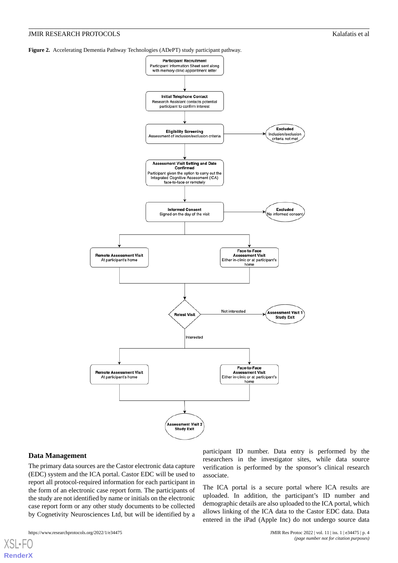<span id="page-3-0"></span>**Figure 2.** Accelerating Dementia Pathway Technologies (ADePT) study participant pathway.



# **Data Management**

 $X$ SI • FO **[RenderX](http://www.renderx.com/)**

The primary data sources are the Castor electronic data capture (EDC) system and the ICA portal. Castor EDC will be used to report all protocol-required information for each participant in the form of an electronic case report form. The participants of the study are not identified by name or initials on the electronic case report form or any other study documents to be collected by Cognetivity Neurosciences Ltd, but will be identified by a

participant ID number. Data entry is performed by the researchers in the investigator sites, while data source verification is performed by the sponsor's clinical research associate.

The ICA portal is a secure portal where ICA results are uploaded. In addition, the participant's ID number and demographic details are also uploaded to the ICA portal, which allows linking of the ICA data to the Castor EDC data. Data entered in the iPad (Apple Inc) do not undergo source data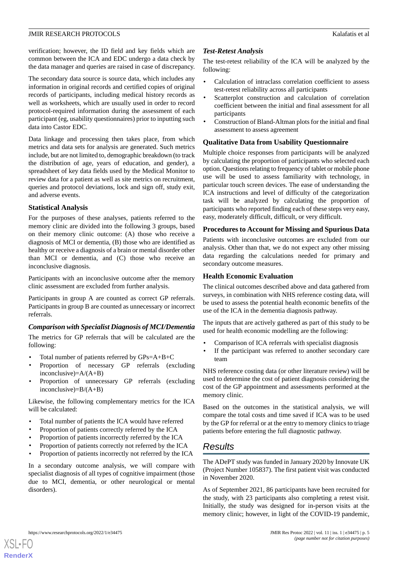verification; however, the ID field and key fields which are common between the ICA and EDC undergo a data check by the data manager and queries are raised in case of discrepancy.

The secondary data source is source data, which includes any information in original records and certified copies of original records of participants, including medical history records as well as worksheets, which are usually used in order to record protocol-required information during the assessment of each participant (eg, usability questionnaires) prior to inputting such data into Castor EDC.

Data linkage and processing then takes place, from which metrics and data sets for analysis are generated. Such metrics include, but are not limited to, demographic breakdown (to track the distribution of age, years of education, and gender), a spreadsheet of key data fields used by the Medical Monitor to review data for a patient as well as site metrics on recruitment, queries and protocol deviations, lock and sign off, study exit, and adverse events.

## **Statistical Analysis**

For the purposes of these analyses, patients referred to the memory clinic are divided into the following 3 groups, based on their memory clinic outcome: (A) those who receive a diagnosis of MCI or dementia, (B) those who are identified as healthy or receive a diagnosis of a brain or mental disorder other than MCI or dementia, and (C) those who receive an inconclusive diagnosis.

Participants with an inconclusive outcome after the memory clinic assessment are excluded from further analysis.

Participants in group A are counted as correct GP referrals. Participants in group B are counted as unnecessary or incorrect referrals.

# *Comparison with Specialist Diagnosis of MCI/Dementia*

The metrics for GP referrals that will be calculated are the following:

- Total number of patients referred by GPs=A+B+C
- Proportion of necessary GP referrals (excluding inconclusive)=A/(A+B)
- Proportion of unnecessary GP referrals (excluding inconclusive)= $B/(A+B)$

Likewise, the following complementary metrics for the ICA will be calculated:

- Total number of patients the ICA would have referred
- Proportion of patients correctly referred by the ICA
- Proportion of patients incorrectly referred by the ICA
- Proportion of patients correctly not referred by the ICA
- Proportion of patients incorrectly not referred by the ICA

In a secondary outcome analysis, we will compare with specialist diagnosis of all types of cognitive impairment (those due to MCI, dementia, or other neurological or mental disorders).

# *Test-Retest Analysis*

The test-retest reliability of the ICA will be analyzed by the following:

- Calculation of intraclass correlation coefficient to assess test-retest reliability across all participants
- Scatterplot construction and calculation of correlation coefficient between the initial and final assessment for all participants
- Construction of Bland-Altman plots for the initial and final assessment to assess agreement

## **Qualitative Data from Usability Questionnaire**

Multiple choice responses from participants will be analyzed by calculating the proportion of participants who selected each option. Questions relating to frequency of tablet or mobile phone use will be used to assess familiarity with technology, in particular touch screen devices. The ease of understanding the ICA instructions and level of difficulty of the categorization task will be analyzed by calculating the proportion of participants who reported finding each of these steps very easy, easy, moderately difficult, difficult, or very difficult.

## **Procedures to Account for Missing and Spurious Data**

Patients with inconclusive outcomes are excluded from our analysis. Other than that, we do not expect any other missing data regarding the calculations needed for primary and secondary outcome measures.

## **Health Economic Evaluation**

The clinical outcomes described above and data gathered from surveys, in combination with NHS reference costing data, will be used to assess the potential health economic benefits of the use of the ICA in the dementia diagnosis pathway.

The inputs that are actively gathered as part of this study to be used for health economic modelling are the following:

- Comparison of ICA referrals with specialist diagnosis
- If the participant was referred to another secondary care team

NHS reference costing data (or other literature review) will be used to determine the cost of patient diagnosis considering the cost of the GP appointment and assessments performed at the memory clinic.

Based on the outcomes in the statistical analysis, we will compare the total costs and time saved if ICA was to be used by the GP for referral or at the entry to memory clinics to triage patients before entering the full diagnostic pathway.

# *Results*

The ADePT study was funded in January 2020 by Innovate UK (Project Number 105837). The first patient visit was conducted in November 2020.

As of September 2021, 86 participants have been recruited for the study, with 23 participants also completing a retest visit. Initially, the study was designed for in-person visits at the memory clinic; however, in light of the COVID-19 pandemic,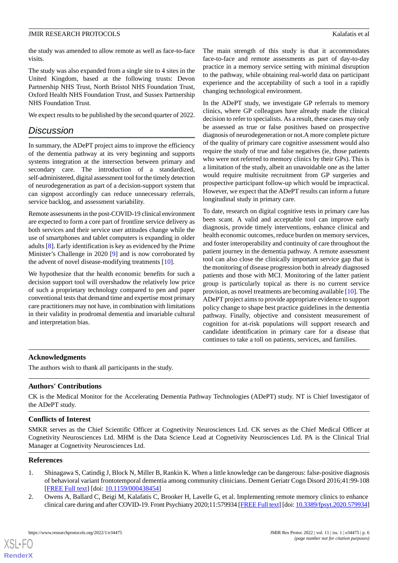the study was amended to allow remote as well as face-to-face visits.

The study was also expanded from a single site to 4 sites in the United Kingdom, based at the following trusts: Devon Partnership NHS Trust, North Bristol NHS Foundation Trust, Oxford Health NHS Foundation Trust, and Sussex Partnership NHS Foundation Trust.

We expect results to be published by the second quarter of 2022.

# *Discussion*

In summary, the ADePT project aims to improve the efficiency of the dementia pathway at its very beginning and supports systems integration at the intersection between primary and secondary care. The introduction of a standardized, self-administered, digital assessment tool for the timely detection of neurodegeneration as part of a decision-support system that can signpost accordingly can reduce unnecessary referrals, service backlog, and assessment variability.

Remote assessments in the post-COVID-19 clinical environment are expected to form a core part of frontline service delivery as both services and their service user attitudes change while the use of smartphones and tablet computers is expanding in older adults [[8\]](#page-6-5). Early identification is key as evidenced by the Prime Minister's Challenge in 2020 [[9\]](#page-6-6) and is now corroborated by the advent of novel disease-modifying treatments [\[10](#page-6-7)].

We hypothesize that the health economic benefits for such a decision support tool will overshadow the relatively low price of such a proprietary technology compared to pen and paper conventional tests that demand time and expertise most primary care practitioners may not have, in combination with limitations in their validity in prodromal dementia and invariable cultural and interpretation bias.

The main strength of this study is that it accommodates face-to-face and remote assessments as part of day-to-day practice in a memory service setting with minimal disruption to the pathway, while obtaining real-world data on participant experience and the acceptability of such a tool in a rapidly changing technological environment.

In the ADePT study, we investigate GP referrals to memory clinics, where GP colleagues have already made the clinical decision to refer to specialists. As a result, these cases may only be assessed as true or false positives based on prospective diagnosis of neurodegeneration or not.A more complete picture of the quality of primary care cognitive assessment would also require the study of true and false negatives (ie, those patients who were not referred to memory clinics by their GPs). This is a limitation of the study, albeit an unavoidable one as the latter would require multisite recruitment from GP surgeries and prospective participant follow-up which would be impractical. However, we expect that the ADePT results can inform a future longitudinal study in primary care.

To date, research on digital cognitive tests in primary care has been scant. A valid and acceptable tool can improve early diagnosis, provide timely interventions, enhance clinical and health economic outcomes, reduce burden on memory services, and foster interoperability and continuity of care throughout the patient journey in the dementia pathway. A remote assessment tool can also close the clinically important service gap that is the monitoring of disease progression both in already diagnosed patients and those with MCI. Monitoring of the latter patient group is particularly topical as there is no current service provision, as novel treatments are becoming available [[10\]](#page-6-7). The ADePT project aims to provide appropriate evidence to support policy change to shape best practice guidelines in the dementia pathway. Finally, objective and consistent measurement of cognition for at-risk populations will support research and candidate identification in primary care for a disease that continues to take a toll on patients, services, and families.

# **Acknowledgments**

The authors wish to thank all participants in the study.

# **Authors' Contributions**

CK is the Medical Monitor for the Accelerating Dementia Pathway Technologies (ADePT) study. NT is Chief Investigator of the ADePT study.

## **Conflicts of Interest**

<span id="page-5-0"></span>SMKR serves as the Chief Scientific Officer at Cognetivity Neurosciences Ltd. CK serves as the Chief Medical Officer at Cognetivity Neurosciences Ltd. MHM is the Data Science Lead at Cognetivity Neurosciences Ltd. PA is the Clinical Trial Manager at Cognetivity Neurosciences Ltd.

## <span id="page-5-1"></span>**References**

- 1. Shinagawa S, Catindig J, Block N, Miller B, Rankin K. When a little knowledge can be dangerous: false-positive diagnosis of behavioral variant frontotemporal dementia among community clinicians. Dement Geriatr Cogn Disord 2016;41:99-108 [[FREE Full text](https://doi.org/10.1159/000438454)] [doi: [10.1159/000438454\]](http://dx.doi.org/10.1159/000438454)
- 2. Owens A, Ballard C, Beigi M, Kalafatis C, Brooker H, Lavelle G, et al. Implementing remote memory clinics to enhance clinical care during and after COVID-19. Front Psychiatry 2020;11:579934 [[FREE Full text](https://doi.org/10.3389/fpsyt.2020.579934)] [doi: [10.3389/fpsyt.2020.579934\]](http://dx.doi.org/10.3389/fpsyt.2020.579934)